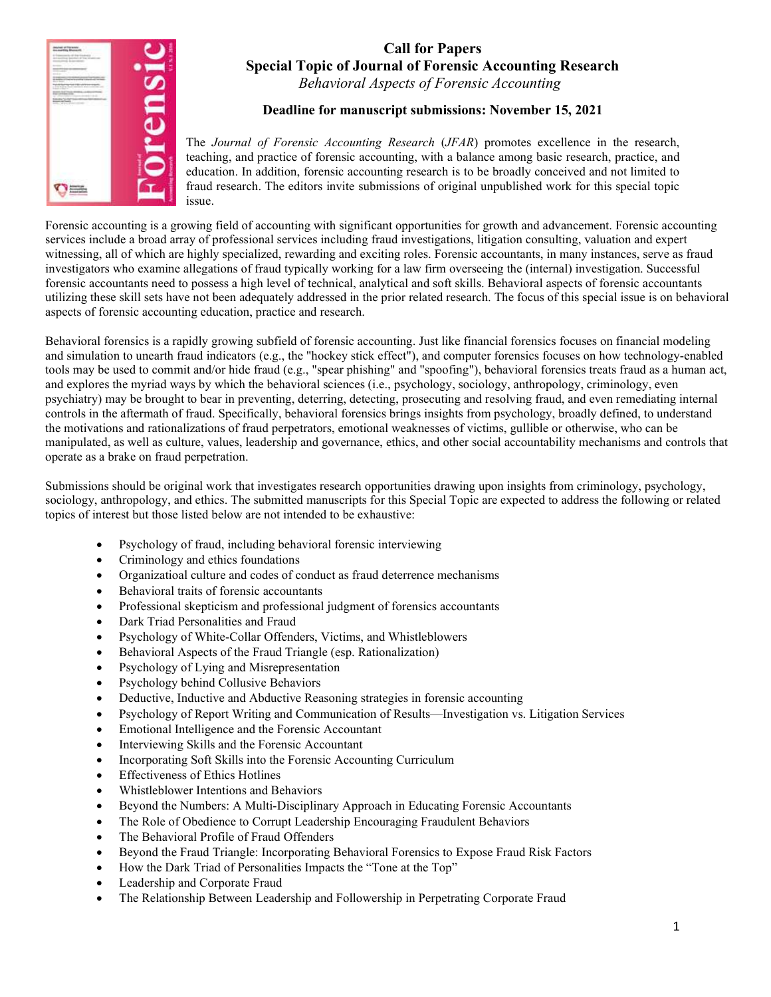

# Call for Papers Special Topic of Journal of Forensic Accounting Research Behavioral Aspects of Forensic Accounting

Deadline for manuscript submissions: November 15, 2021

The Journal of Forensic Accounting Research (JFAR) promotes excellence in the research, teaching, and practice of forensic accounting, with a balance among basic research, practice, and education. In addition, forensic accounting research is to be broadly conceived and not limited to fraud research. The editors invite submissions of original unpublished work for this special topic issue.

Forensic accounting is a growing field of accounting with significant opportunities for growth and advancement. Forensic accounting services include a broad array of professional services including fraud investigations, litigation consulting, valuation and expert witnessing, all of which are highly specialized, rewarding and exciting roles. Forensic accountants, in many instances, serve as fraud investigators who examine allegations of fraud typically working for a law firm overseeing the (internal) investigation. Successful forensic accountants need to possess a high level of technical, analytical and soft skills. Behavioral aspects of forensic accountants utilizing these skill sets have not been adequately addressed in the prior related research. The focus of this special issue is on behavioral aspects of forensic accounting education, practice and research.

Behavioral forensics is a rapidly growing subfield of forensic accounting. Just like financial forensics focuses on financial modeling and simulation to unearth fraud indicators (e.g., the "hockey stick effect"), and computer forensics focuses on how technology-enabled tools may be used to commit and/or hide fraud (e.g., "spear phishing" and "spoofing"), behavioral forensics treats fraud as a human act, and explores the myriad ways by which the behavioral sciences (i.e., psychology, sociology, anthropology, criminology, even psychiatry) may be brought to bear in preventing, deterring, detecting, prosecuting and resolving fraud, and even remediating internal controls in the aftermath of fraud. Specifically, behavioral forensics brings insights from psychology, broadly defined, to understand the motivations and rationalizations of fraud perpetrators, emotional weaknesses of victims, gullible or otherwise, who can be manipulated, as well as culture, values, leadership and governance, ethics, and other social accountability mechanisms and controls that operate as a brake on fraud perpetration.

Submissions should be original work that investigates research opportunities drawing upon insights from criminology, psychology, sociology, anthropology, and ethics. The submitted manuscripts for this Special Topic are expected to address the following or related topics of interest but those listed below are not intended to be exhaustive:

- Psychology of fraud, including behavioral forensic interviewing
- Criminology and ethics foundations
- Organizatioal culture and codes of conduct as fraud deterrence mechanisms
- Behavioral traits of forensic accountants
- Professional skepticism and professional judgment of forensics accountants
- Dark Triad Personalities and Fraud
- Psychology of White-Collar Offenders, Victims, and Whistleblowers
- Behavioral Aspects of the Fraud Triangle (esp. Rationalization)
- Psychology of Lying and Misrepresentation
- Psychology behind Collusive Behaviors
- Deductive, Inductive and Abductive Reasoning strategies in forensic accounting
- Psychology of Report Writing and Communication of Results—Investigation vs. Litigation Services
- Emotional Intelligence and the Forensic Accountant
- Interviewing Skills and the Forensic Accountant
- Incorporating Soft Skills into the Forensic Accounting Curriculum
- Effectiveness of Ethics Hotlines
- Whistleblower Intentions and Behaviors
- Beyond the Numbers: A Multi-Disciplinary Approach in Educating Forensic Accountants
- The Role of Obedience to Corrupt Leadership Encouraging Fraudulent Behaviors
- The Behavioral Profile of Fraud Offenders
- Beyond the Fraud Triangle: Incorporating Behavioral Forensics to Expose Fraud Risk Factors
- How the Dark Triad of Personalities Impacts the "Tone at the Top"
- Leadership and Corporate Fraud
- The Relationship Between Leadership and Followership in Perpetrating Corporate Fraud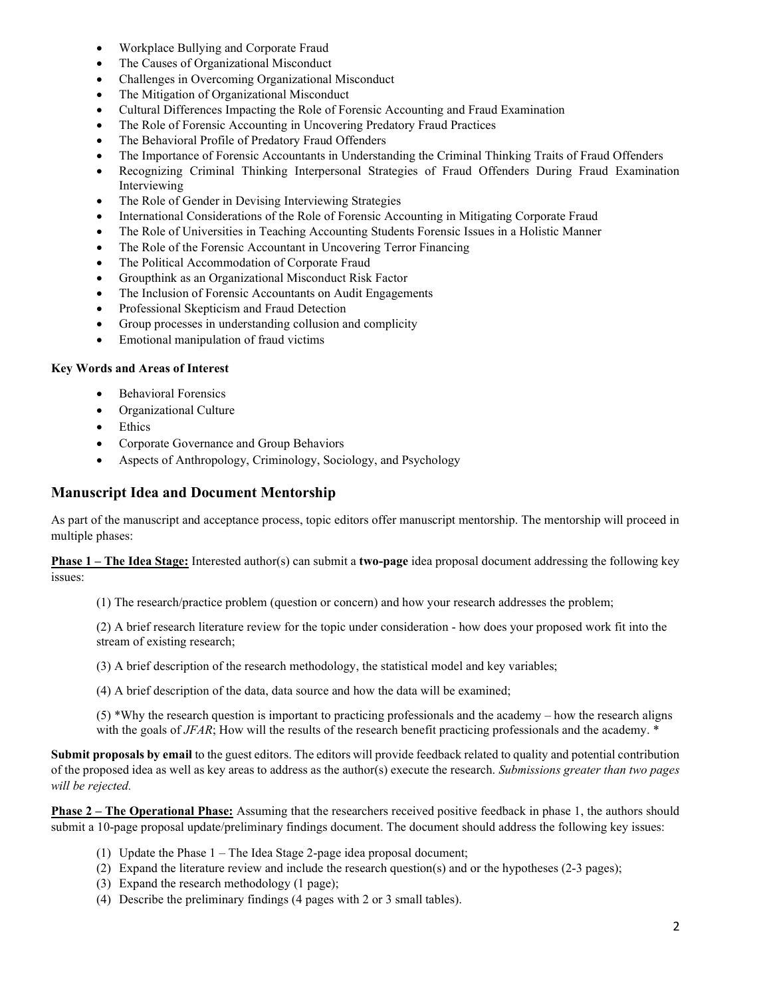- Workplace Bullying and Corporate Fraud
- The Causes of Organizational Misconduct
- Challenges in Overcoming Organizational Misconduct
- The Mitigation of Organizational Misconduct
- Cultural Differences Impacting the Role of Forensic Accounting and Fraud Examination
- The Role of Forensic Accounting in Uncovering Predatory Fraud Practices
- The Behavioral Profile of Predatory Fraud Offenders
- The Importance of Forensic Accountants in Understanding the Criminal Thinking Traits of Fraud Offenders
- Recognizing Criminal Thinking Interpersonal Strategies of Fraud Offenders During Fraud Examination Interviewing
- The Role of Gender in Devising Interviewing Strategies
- International Considerations of the Role of Forensic Accounting in Mitigating Corporate Fraud
- The Role of Universities in Teaching Accounting Students Forensic Issues in a Holistic Manner
- The Role of the Forensic Accountant in Uncovering Terror Financing
- The Political Accommodation of Corporate Fraud
- Groupthink as an Organizational Misconduct Risk Factor
- The Inclusion of Forensic Accountants on Audit Engagements
- Professional Skepticism and Fraud Detection
- Group processes in understanding collusion and complicity
- Emotional manipulation of fraud victims

### Key Words and Areas of Interest

- Behavioral Forensics
- Organizational Culture
- Ethics
- Corporate Governance and Group Behaviors
- Aspects of Anthropology, Criminology, Sociology, and Psychology

## Manuscript Idea and Document Mentorship

As part of the manuscript and acceptance process, topic editors offer manuscript mentorship. The mentorship will proceed in multiple phases:

**Phase 1 – The Idea Stage:** Interested author(s) can submit a two-page idea proposal document addressing the following key issues:

(1) The research/practice problem (question or concern) and how your research addresses the problem;

(2) A brief research literature review for the topic under consideration - how does your proposed work fit into the stream of existing research;

(3) A brief description of the research methodology, the statistical model and key variables;

(4) A brief description of the data, data source and how the data will be examined;

(5) \*Why the research question is important to practicing professionals and the academy – how the research aligns with the goals of JFAR; How will the results of the research benefit practicing professionals and the academy.  $*$ 

Submit proposals by email to the guest editors. The editors will provide feedback related to quality and potential contribution of the proposed idea as well as key areas to address as the author(s) execute the research. Submissions greater than two pages will be rejected.

Phase 2 – The Operational Phase: Assuming that the researchers received positive feedback in phase 1, the authors should submit a 10-page proposal update/preliminary findings document. The document should address the following key issues:

- (1) Update the Phase 1 The Idea Stage 2-page idea proposal document;
- (2) Expand the literature review and include the research question(s) and or the hypotheses (2-3 pages);
- (3) Expand the research methodology (1 page);
- (4) Describe the preliminary findings (4 pages with 2 or 3 small tables).